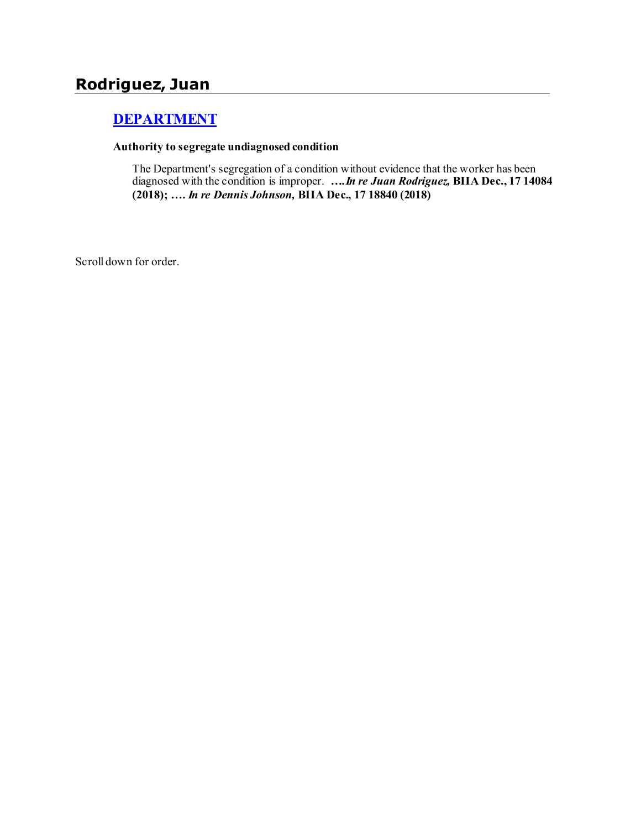# **Rodriguez, Juan**

# **[DEPARTMENT](http://www.biia.wa.gov/SDSubjectIndex.html#DEPARTMENT)**

#### **Authority to segregate undiagnosed condition**

The Department's segregation of a condition without evidence that the worker has been diagnosed with the condition is improper. *….In re Juan Rodriguez,* **BIIA Dec., 17 14084 (2018); ….** *In re Dennis Johnson,* **BIIA Dec., 17 18840 (2018)**

Scroll down for order.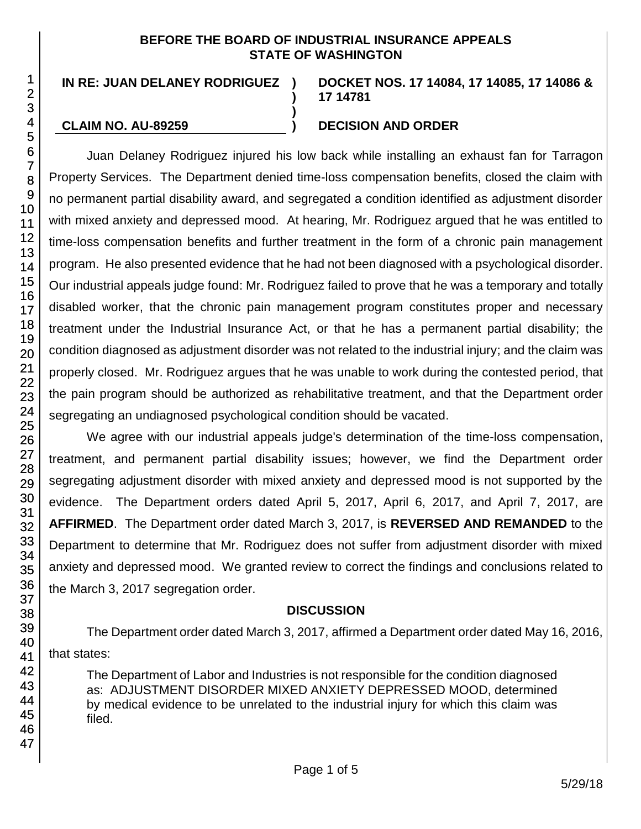#### **BEFORE THE BOARD OF INDUSTRIAL INSURANCE APPEALS STATE OF WASHINGTON**

**)**

**)**

# **IN RE: JUAN DELANEY RODRIGUEZ )**

#### **DOCKET NOS. 17 14084, 17 14085, 17 14086 & 17 14781**

#### **CLAIM NO. AU-89259 ) DECISION AND ORDER**

Juan Delaney Rodriguez injured his low back while installing an exhaust fan for Tarragon Property Services. The Department denied time-loss compensation benefits, closed the claim with no permanent partial disability award, and segregated a condition identified as adjustment disorder with mixed anxiety and depressed mood. At hearing, Mr. Rodriguez argued that he was entitled to time-loss compensation benefits and further treatment in the form of a chronic pain management program. He also presented evidence that he had not been diagnosed with a psychological disorder. Our industrial appeals judge found: Mr. Rodriguez failed to prove that he was a temporary and totally disabled worker, that the chronic pain management program constitutes proper and necessary treatment under the Industrial Insurance Act, or that he has a permanent partial disability; the condition diagnosed as adjustment disorder was not related to the industrial injury; and the claim was properly closed. Mr. Rodriguez argues that he was unable to work during the contested period, that the pain program should be authorized as rehabilitative treatment, and that the Department order segregating an undiagnosed psychological condition should be vacated.

We agree with our industrial appeals judge's determination of the time-loss compensation, treatment, and permanent partial disability issues; however, we find the Department order segregating adjustment disorder with mixed anxiety and depressed mood is not supported by the evidence. The Department orders dated April 5, 2017, April 6, 2017, and April 7, 2017, are **AFFIRMED**. The Department order dated March 3, 2017, is **REVERSED AND REMANDED** to the Department to determine that Mr. Rodriguez does not suffer from adjustment disorder with mixed anxiety and depressed mood. We granted review to correct the findings and conclusions related to the March 3, 2017 segregation order.

## **DISCUSSION**

The Department order dated March 3, 2017, affirmed a Department order dated May 16, 2016, that states:

The Department of Labor and Industries is not responsible for the condition diagnosed as: ADJUSTMENT DISORDER MIXED ANXIETY DEPRESSED MOOD, determined by medical evidence to be unrelated to the industrial injury for which this claim was filed.

1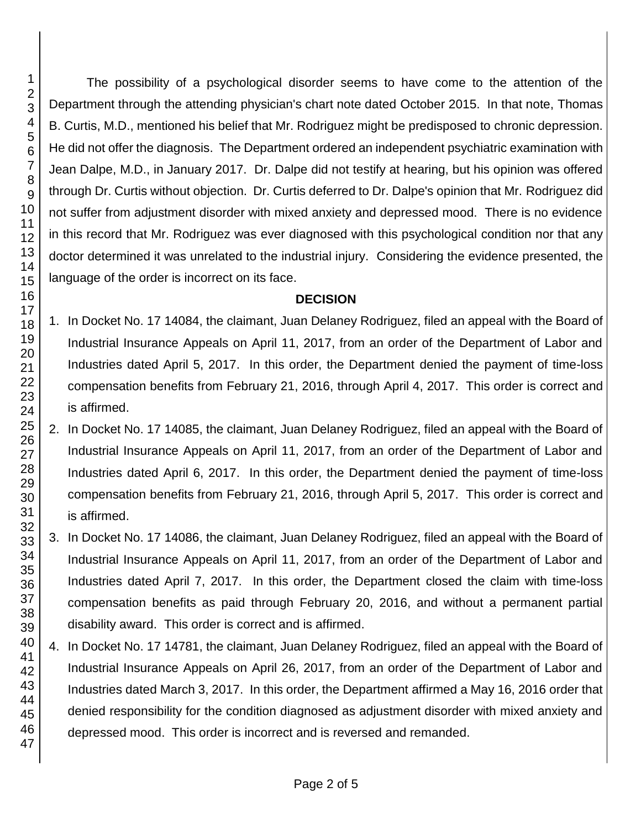The possibility of a psychological disorder seems to have come to the attention of the Department through the attending physician's chart note dated October 2015. In that note, Thomas B. Curtis, M.D., mentioned his belief that Mr. Rodriguez might be predisposed to chronic depression. He did not offer the diagnosis. The Department ordered an independent psychiatric examination with Jean Dalpe, M.D., in January 2017. Dr. Dalpe did not testify at hearing, but his opinion was offered through Dr. Curtis without objection. Dr. Curtis deferred to Dr. Dalpe's opinion that Mr. Rodriguez did not suffer from adjustment disorder with mixed anxiety and depressed mood. There is no evidence in this record that Mr. Rodriguez was ever diagnosed with this psychological condition nor that any doctor determined it was unrelated to the industrial injury. Considering the evidence presented, the language of the order is incorrect on its face.

## **DECISION**

- 1. In Docket No. 17 14084, the claimant, Juan Delaney Rodriguez, filed an appeal with the Board of Industrial Insurance Appeals on April 11, 2017, from an order of the Department of Labor and Industries dated April 5, 2017. In this order, the Department denied the payment of time-loss compensation benefits from February 21, 2016, through April 4, 2017. This order is correct and is affirmed.
- 2. In Docket No. 17 14085, the claimant, Juan Delaney Rodriguez, filed an appeal with the Board of Industrial Insurance Appeals on April 11, 2017, from an order of the Department of Labor and Industries dated April 6, 2017. In this order, the Department denied the payment of time-loss compensation benefits from February 21, 2016, through April 5, 2017. This order is correct and is affirmed.
- 3. In Docket No. 17 14086, the claimant, Juan Delaney Rodriguez, filed an appeal with the Board of Industrial Insurance Appeals on April 11, 2017, from an order of the Department of Labor and Industries dated April 7, 2017. In this order, the Department closed the claim with time-loss compensation benefits as paid through February 20, 2016, and without a permanent partial disability award. This order is correct and is affirmed.
- 4. In Docket No. 17 14781, the claimant, Juan Delaney Rodriguez, filed an appeal with the Board of Industrial Insurance Appeals on April 26, 2017, from an order of the Department of Labor and Industries dated March 3, 2017. In this order, the Department affirmed a May 16, 2016 order that denied responsibility for the condition diagnosed as adjustment disorder with mixed anxiety and depressed mood. This order is incorrect and is reversed and remanded.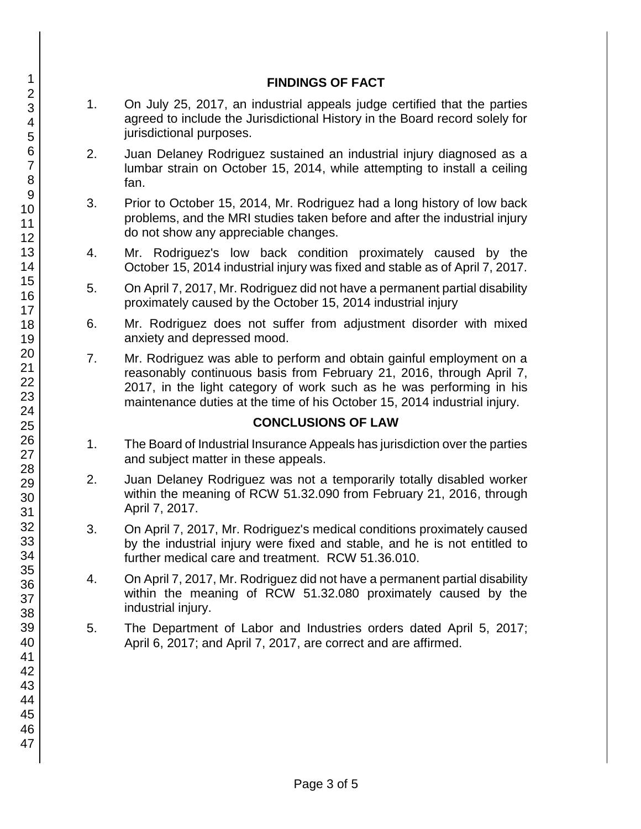#### **FINDINGS OF FACT**

- 1. On July 25, 2017, an industrial appeals judge certified that the parties agreed to include the Jurisdictional History in the Board record solely for jurisdictional purposes.
- 2. Juan Delaney Rodriguez sustained an industrial injury diagnosed as a lumbar strain on October 15, 2014, while attempting to install a ceiling fan.
- 3. Prior to October 15, 2014, Mr. Rodriguez had a long history of low back problems, and the MRI studies taken before and after the industrial injury do not show any appreciable changes.
- 4. Mr. Rodriguez's low back condition proximately caused by the October 15, 2014 industrial injury was fixed and stable as of April 7, 2017.
- 5. On April 7, 2017, Mr. Rodriguez did not have a permanent partial disability proximately caused by the October 15, 2014 industrial injury
- 6. Mr. Rodriguez does not suffer from adjustment disorder with mixed anxiety and depressed mood.
- 7. Mr. Rodriguez was able to perform and obtain gainful employment on a reasonably continuous basis from February 21, 2016, through April 7, 2017, in the light category of work such as he was performing in his maintenance duties at the time of his October 15, 2014 industrial injury.

#### **CONCLUSIONS OF LAW**

- 1. The Board of Industrial Insurance Appeals has jurisdiction over the parties and subject matter in these appeals.
- 2. Juan Delaney Rodriguez was not a temporarily totally disabled worker within the meaning of RCW 51.32.090 from February 21, 2016, through April 7, 2017.
- 3. On April 7, 2017, Mr. Rodriguez's medical conditions proximately caused by the industrial injury were fixed and stable, and he is not entitled to further medical care and treatment. RCW 51.36.010.
- 4. On April 7, 2017, Mr. Rodriguez did not have a permanent partial disability within the meaning of RCW 51.32.080 proximately caused by the industrial injury.
- 5. The Department of Labor and Industries orders dated April 5, 2017; April 6, 2017; and April 7, 2017, are correct and are affirmed.

1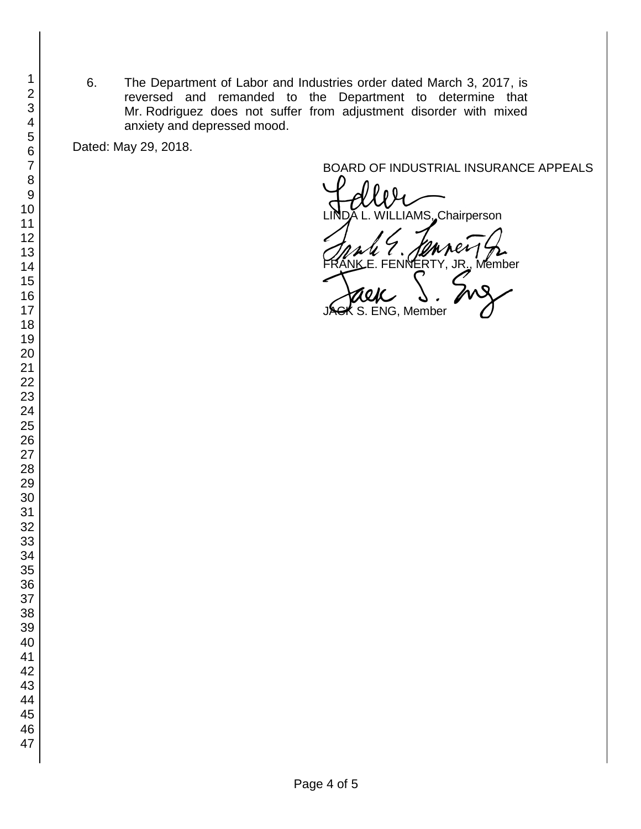6. The Department of Labor and Industries order dated March 3, 2017, is reversed and remanded to the Department to determine that Mr. Rodriguez does not suffer from adjustment disorder with mixed anxiety and depressed mood.

Dated: May 29, 2018.

BOARD OF INDUSTRIAL INSURANCE APPEALS<br>
LINDA L. WILLIAMS, Chairperson FRANK E. FENNERTY, JR., Member<br>FRANK E. FENNERTY, JR., Member<br>JACK S. ENG, Member  $K$  S. ENG, Member